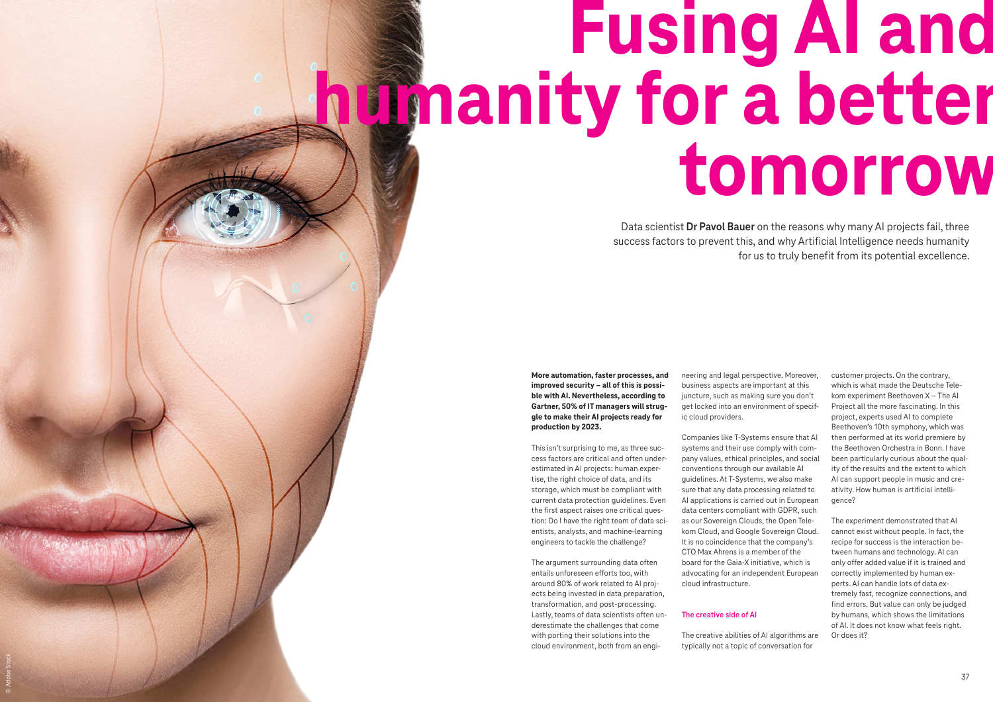# **Fusing AI and humanity for a better tomorrow**

**More automation, faster processes, and improved security – all of this is possible with AI. Nevertheless, according to Gartner, 50% of IT managers will struggle to make their AI projects ready for production by 2023.** 

This isn't surprising to me, as three success factors are critical and often underestimated in AI projects: human expertise, the right choice of data, and its storage, which must be compliant with current data protection guidelines. Even the first aspect raises one critical question: Do I have the right team of data scientists, analysts, and machine-learning engineers to tackle the challenge?

The argument surrounding data often entails unforeseen efforts too, with around 80% of work related to AI projects being invested in data preparation, transformation, and post-processing. Lastly, teams of data scientists often underestimate the challenges that come with porting their solutions into the cloud environment, both from an engi-

Data scientist **Dr Pavol Bauer** on the reasons why many AI projects fail, three success factors to prevent this, and why Artificial Intelligence needs humanity for us to truly benefit from its potential excellence.

> neering and legal perspective. Moreover, business aspects are important at this juncture, such as making sure you don't get locked into an environment of specific cloud providers.

> Companies like T-Systems ensure that AI systems and their use comply with company values, ethical principles, and social conventions through our available AI guidelines. At T-Systems, we also make sure that any data processing related to AI applications is carried out in European data centers compliant with GDPR, such as our Sovereign Clouds, the Open Telekom Cloud, and Google Sovereign Cloud. It is no coincidence that the company's CTO Max Ahrens is a member of the board for the Gaia-X initiative, which is advocating for an independent European cloud infrastructure.

# **The creative side of AI**

The creative abilities of AI algorithms are typically not a topic of conversation for

customer projects. On the contrary, which is what made the Deutsche Telekom experiment Beethoven X – The AI Project all the more fascinating. In this project, experts used AI to complete Beethoven's 10th symphony, which was then performed at its world premiere by the Beethoven Orchestra in Bonn. I have been particularly curious about the quality of the results and the extent to which AI can support people in music and creativity. How human is artificial intelligence?

The experiment demonstrated that AI cannot exist without people. In fact, the recipe for success is the interaction between humans and technology. AI can only offer added value if it is trained and correctly implemented by human experts. AI can handle lots of data extremely fast, recognize connections, and find errors. But value can only be judged by humans, which shows the limitations of AI. It does not know what feels right. Or does it?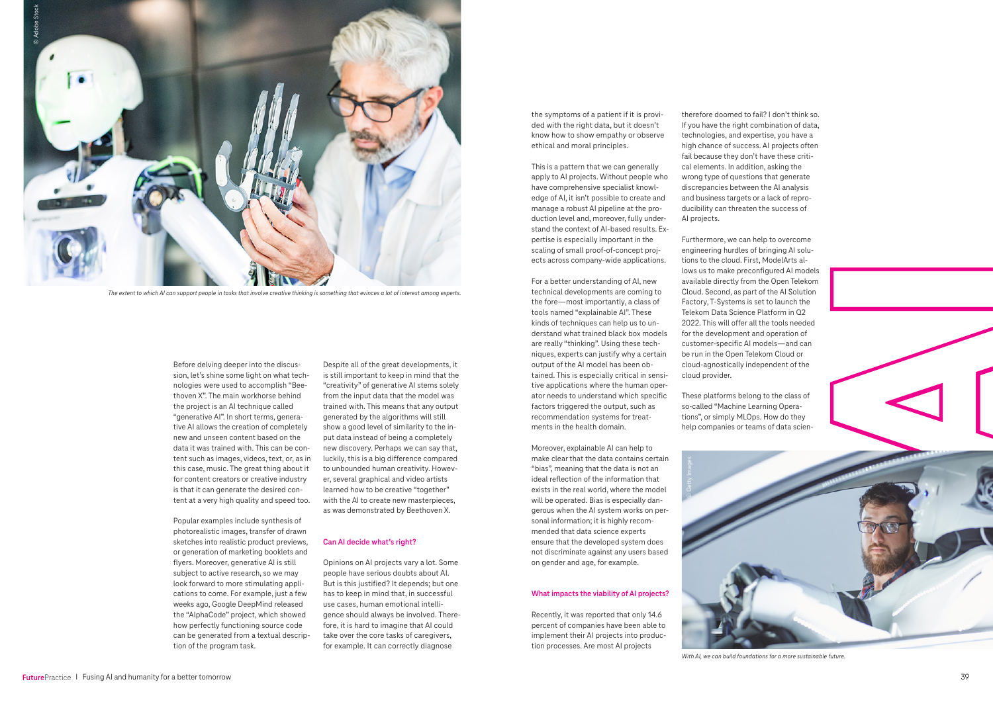Before delving deeper into the discussion, let's shine some light on what technologies were used to accomplish "Beethoven X". The main workhorse behind the project is an AI technique called "generative AI". In short terms, generative AI allows the creation of completely new and unseen content based on the data it was trained with. This can be content such as images, videos, text, or, as in this case, music. The great thing about it for content creators or creative industry is that it can generate the desired content at a very high quality and speed too.

Popular examples include synthesis of photorealistic images, transfer of drawn sketches into realistic product previews, or generation of marketing booklets and flyers. Moreover, generative AI is still subject to active research, so we may look forward to more stimulating applications to come. For example, just a few weeks ago, Google DeepMind released the "AlphaCode" project, which showed how perfectly functioning source code can be generated from a textual description of the program task.





Despite all of the great developments, it is still important to keep in mind that the "creativity" of generative AI stems solely from the input data that the model was trained with. This means that any output generated by the algorithms will still show a good level of similarity to the input data instead of being a completely new discovery. Perhaps we can say that, luckily, this is a big difference compared to unbounded human creativity. However, several graphical and video artists learned how to be creative "together" with the AI to create new masterpieces, as was demonstrated by Beethoven X.

## **Can AI decide what's right?**

Opinions on AI projects vary a lot. Some people have serious doubts about AI. But is this justified? It depends; but one has to keep in mind that, in successful use cases, human emotional intelligence should always be involved. Therefore, it is hard to imagine that AI could take over the core tasks of caregivers, for example. It can correctly diagnose

the symptoms of a patient if it is provided with the right data, but it doesn't know how to show empathy or observe ethical and moral principles.

This is a pattern that we can generally apply to AI projects. Without people who have comprehensive specialist knowledge of AI, it isn't possible to create and manage a robust AI pipeline at the production level and, moreover, fully understand the context of AI-based results. Expertise is especially important in the scaling of small proof-of-concept projects across company-wide applications.

For a better understanding of AI, new technical developments are coming to the fore—most importantly, a class of tools named "explainable AI". These kinds of techniques can help us to understand what trained black box models are really "thinking". Using these techniques, experts can justify why a certain output of the AI model has been obtained. This is especially critical in sensitive applications where the human operator needs to understand which specific factors triggered the output, such as recommendation systems for treatments in the health domain.

Moreover, explainable AI can help to make clear that the data contains certain "bias", meaning that the data is not an ideal reflection of the information that exists in the real world, where the model will be operated. Bias is especially dangerous when the AI system works on personal information; it is highly recommended that data science experts ensure that the developed system does not discriminate against any users based on gender and age, for example.

### **What impacts the viability of AI projects?**

Recently, it was reported that only 14.6 percent of companies have been able to implement their AI projects into production processes. Are most AI projects

therefore doomed to fail? I don't think so. If you have the right combination of data, technologies, and expertise, you have a high chance of success. AI projects often fail because they don't have these critical elements. In addition, asking the wrong type of questions that generate discrepancies between the AI analysis and business targets or a lack of reproducibility can threaten the success of AI projects.

Furthermore, we can help to overcome engineering hurdles of bringing AI solutions to the cloud. First, ModelArts allows us to make preconfigured AI models available directly from the Open Telekom Cloud. Second, as part of the AI Solution Factory, T-Systems is set to launch the Telekom Data Science Platform in Q2 2022. This will offer all the tools needed for the development and operation of customer-specific AI models—and can be run in the Open Telekom Cloud or cloud-agnostically independent of the cloud provider.

These platforms belong to the class of so-called "Machine Learning Operations", or simply MLOps. How do they help companies or teams of data scien-



*The extent to which AI can support people in tasks that involve creative thinking is something that evinces a lot of interest among experts.*



*With AI, we can build foundations for a more sustainable future.*